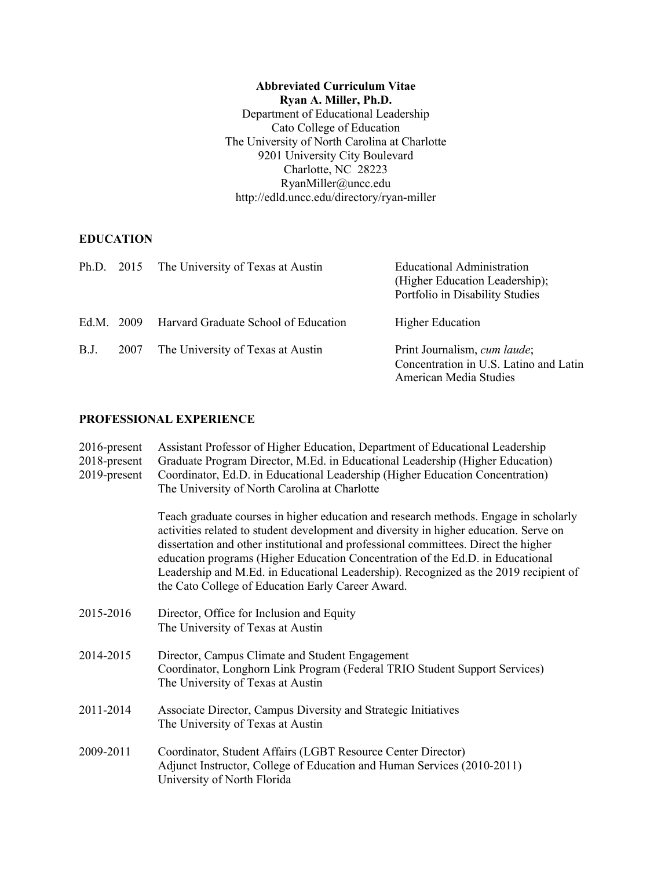**Abbreviated Curriculum Vitae Ryan A. Miller, Ph.D.** Department of Educational Leadership Cato College of Education The University of North Carolina at Charlotte 9201 University City Boulevard Charlotte, NC 28223 RyanMiller@uncc.edu http://edld.uncc.edu/directory/ryan-miller

# **EDUCATION**

|            |      | Ph.D. 2015 The University of Texas at Austin | Educational Administration<br>(Higher Education Leadership);<br>Portfolio in Disability Studies  |
|------------|------|----------------------------------------------|--------------------------------------------------------------------------------------------------|
| Ed.M. 2009 |      | Harvard Graduate School of Education         | <b>Higher Education</b>                                                                          |
| B.J.       | 2007 | The University of Texas at Austin            | Print Journalism, cum laude;<br>Concentration in U.S. Latino and Latin<br>American Media Studies |

# **PROFESSIONAL EXPERIENCE**

| $2016$ -present<br>2018-present<br>2019-present | Assistant Professor of Higher Education, Department of Educational Leadership<br>Graduate Program Director, M.Ed. in Educational Leadership (Higher Education)<br>Coordinator, Ed.D. in Educational Leadership (Higher Education Concentration)<br>The University of North Carolina at Charlotte                                                                                                                                                                                                    |  |
|-------------------------------------------------|-----------------------------------------------------------------------------------------------------------------------------------------------------------------------------------------------------------------------------------------------------------------------------------------------------------------------------------------------------------------------------------------------------------------------------------------------------------------------------------------------------|--|
|                                                 | Teach graduate courses in higher education and research methods. Engage in scholarly<br>activities related to student development and diversity in higher education. Serve on<br>dissertation and other institutional and professional committees. Direct the higher<br>education programs (Higher Education Concentration of the Ed.D. in Educational<br>Leadership and M.Ed. in Educational Leadership). Recognized as the 2019 recipient of<br>the Cato College of Education Early Career Award. |  |
| 2015-2016                                       | Director, Office for Inclusion and Equity<br>The University of Texas at Austin                                                                                                                                                                                                                                                                                                                                                                                                                      |  |
| 2014-2015                                       | Director, Campus Climate and Student Engagement<br>Coordinator, Longhorn Link Program (Federal TRIO Student Support Services)<br>The University of Texas at Austin                                                                                                                                                                                                                                                                                                                                  |  |
| 2011-2014                                       | Associate Director, Campus Diversity and Strategic Initiatives<br>The University of Texas at Austin                                                                                                                                                                                                                                                                                                                                                                                                 |  |
| 2009-2011                                       | Coordinator, Student Affairs (LGBT Resource Center Director)<br>Adjunct Instructor, College of Education and Human Services (2010-2011)<br>University of North Florida                                                                                                                                                                                                                                                                                                                              |  |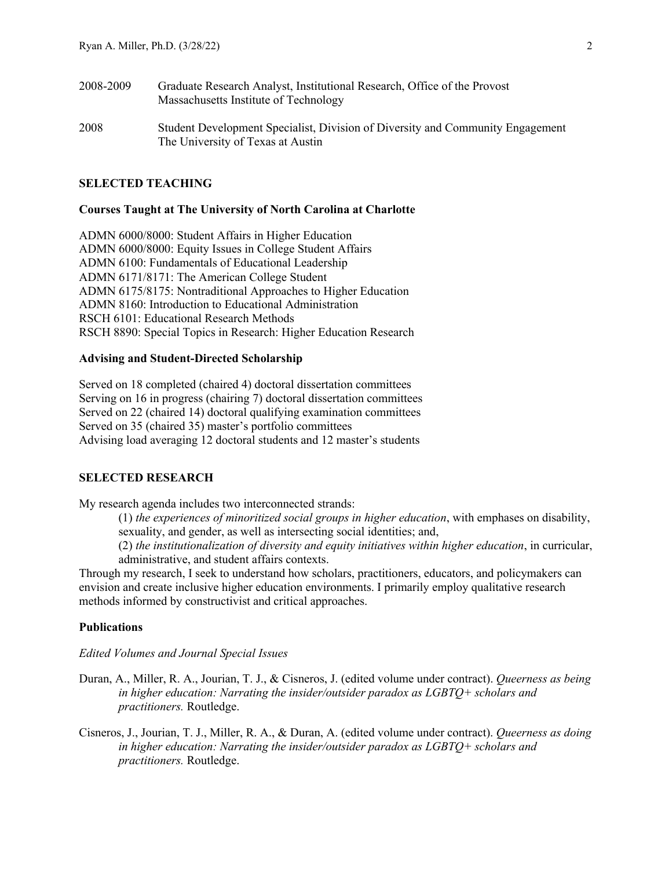| 2008-2009 | Graduate Research Analyst, Institutional Research, Office of the Provost<br>Massachusetts Institute of Technology   |
|-----------|---------------------------------------------------------------------------------------------------------------------|
| 2008      | Student Development Specialist, Division of Diversity and Community Engagement<br>The University of Texas at Austin |

## **SELECTED TEACHING**

#### **Courses Taught at The University of North Carolina at Charlotte**

ADMN 6000/8000: Student Affairs in Higher Education ADMN 6000/8000: Equity Issues in College Student Affairs ADMN 6100: Fundamentals of Educational Leadership ADMN 6171/8171: The American College Student ADMN 6175/8175: Nontraditional Approaches to Higher Education ADMN 8160: Introduction to Educational Administration RSCH 6101: Educational Research Methods RSCH 8890: Special Topics in Research: Higher Education Research

## **Advising and Student-Directed Scholarship**

Served on 18 completed (chaired 4) doctoral dissertation committees Serving on 16 in progress (chairing 7) doctoral dissertation committees Served on 22 (chaired 14) doctoral qualifying examination committees Served on 35 (chaired 35) master's portfolio committees Advising load averaging 12 doctoral students and 12 master's students

#### **SELECTED RESEARCH**

My research agenda includes two interconnected strands:

(1) *the experiences of minoritized social groups in higher education*, with emphases on disability, sexuality, and gender, as well as intersecting social identities; and,

(2) *the institutionalization of diversity and equity initiatives within higher education*, in curricular, administrative, and student affairs contexts.

Through my research, I seek to understand how scholars, practitioners, educators, and policymakers can envision and create inclusive higher education environments. I primarily employ qualitative research methods informed by constructivist and critical approaches.

## **Publications**

*Edited Volumes and Journal Special Issues*

- Duran, A., Miller, R. A., Jourian, T. J., & Cisneros, J. (edited volume under contract). *Queerness as being in higher education: Narrating the insider/outsider paradox as LGBTQ+ scholars and practitioners.* Routledge.
- Cisneros, J., Jourian, T. J., Miller, R. A., & Duran, A. (edited volume under contract). *Queerness as doing in higher education: Narrating the insider/outsider paradox as LGBTQ+ scholars and practitioners.* Routledge.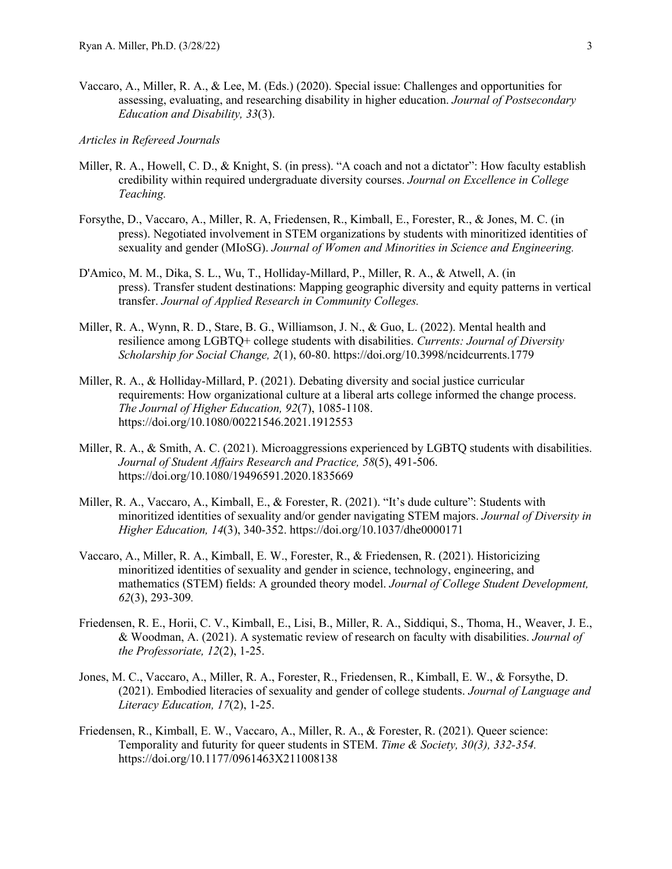- Vaccaro, A., Miller, R. A., & Lee, M. (Eds.) (2020). Special issue: Challenges and opportunities for assessing, evaluating, and researching disability in higher education. *Journal of Postsecondary Education and Disability, 33*(3).
- *Articles in Refereed Journals*
- Miller, R. A., Howell, C. D., & Knight, S. (in press). "A coach and not a dictator": How faculty establish credibility within required undergraduate diversity courses. *Journal on Excellence in College Teaching.*
- Forsythe, D., Vaccaro, A., Miller, R. A, Friedensen, R., Kimball, E., Forester, R., & Jones, M. C. (in press). Negotiated involvement in STEM organizations by students with minoritized identities of sexuality and gender (MIoSG). *Journal of Women and Minorities in Science and Engineering.*
- D'Amico, M. M., Dika, S. L., Wu, T., Holliday-Millard, P., Miller, R. A., & Atwell, A. (in press). Transfer student destinations: Mapping geographic diversity and equity patterns in vertical transfer. *Journal of Applied Research in Community Colleges.*
- Miller, R. A., Wynn, R. D., Stare, B. G., Williamson, J. N., & Guo, L. (2022). Mental health and resilience among LGBTQ+ college students with disabilities. *Currents: Journal of Diversity Scholarship for Social Change, 2*(1), 60-80. https://doi.org/10.3998/ncidcurrents.1779
- Miller, R. A., & Holliday-Millard, P. (2021). Debating diversity and social justice curricular requirements: How organizational culture at a liberal arts college informed the change process. *The Journal of Higher Education, 92*(7), 1085-1108. https://doi.org/10.1080/00221546.2021.1912553
- Miller, R. A., & Smith, A. C. (2021). Microaggressions experienced by LGBTO students with disabilities. *Journal of Student Affairs Research and Practice, 58*(5), 491-506. https://doi.org/10.1080/19496591.2020.1835669
- Miller, R. A., Vaccaro, A., Kimball, E., & Forester, R. (2021). "It's dude culture": Students with minoritized identities of sexuality and/or gender navigating STEM majors. *Journal of Diversity in Higher Education, 14*(3), 340-352. https://doi.org/10.1037/dhe0000171
- Vaccaro, A., Miller, R. A., Kimball, E. W., Forester, R., & Friedensen, R. (2021). Historicizing minoritized identities of sexuality and gender in science, technology, engineering, and mathematics (STEM) fields: A grounded theory model. *Journal of College Student Development, 62*(3), 293-309*.*
- Friedensen, R. E., Horii, C. V., Kimball, E., Lisi, B., Miller, R. A., Siddiqui, S., Thoma, H., Weaver, J. E., & Woodman, A. (2021). A systematic review of research on faculty with disabilities. *Journal of the Professoriate, 12*(2), 1-25.
- Jones, M. C., Vaccaro, A., Miller, R. A., Forester, R., Friedensen, R., Kimball, E. W., & Forsythe, D. (2021). Embodied literacies of sexuality and gender of college students. *Journal of Language and Literacy Education, 17*(2), 1-25.
- Friedensen, R., Kimball, E. W., Vaccaro, A., Miller, R. A., & Forester, R. (2021). Queer science: Temporality and futurity for queer students in STEM. *Time & Society, 30(3), 332-354.*  https://doi.org/10.1177/0961463X211008138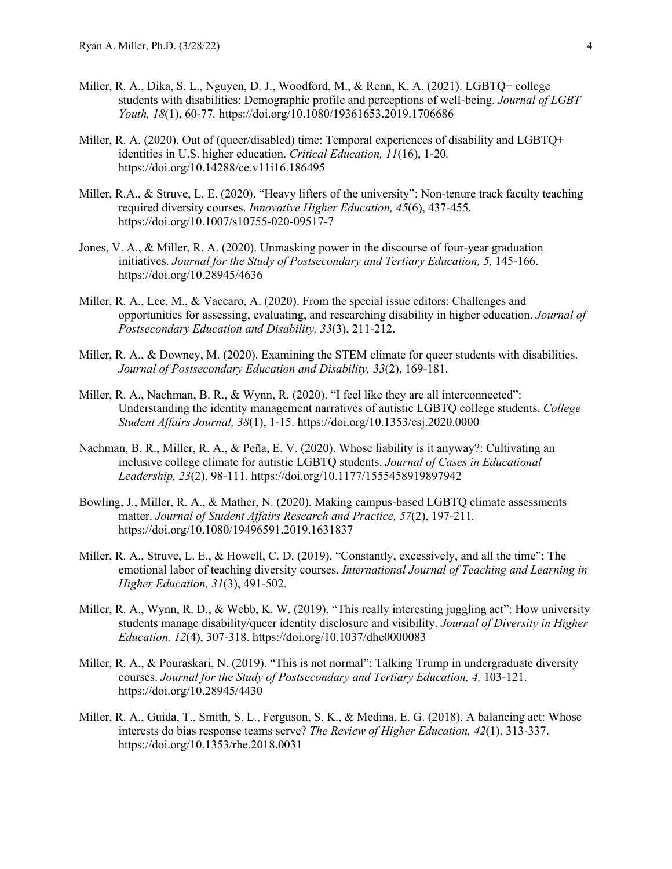- Miller, R. A., Dika, S. L., Nguyen, D. J., Woodford, M., & Renn, K. A. (2021). LGBTQ+ college students with disabilities: Demographic profile and perceptions of well-being. *Journal of LGBT Youth, 18*(1), 60-77*.* https://doi.org/10.1080/19361653.2019.1706686
- Miller, R. A. (2020). Out of (queer/disabled) time: Temporal experiences of disability and LGBTQ+ identities in U.S. higher education. *Critical Education, 11*(16), 1-20*.* https://doi.org/10.14288/ce.v11i16.186495
- Miller, R.A., & Struve, L. E. (2020). "Heavy lifters of the university": Non-tenure track faculty teaching required diversity courses. *Innovative Higher Education, 45*(6), 437-455. https://doi.org/10.1007/s10755-020-09517-7
- Jones, V. A., & Miller, R. A. (2020). Unmasking power in the discourse of four-year graduation initiatives. *Journal for the Study of Postsecondary and Tertiary Education, 5, 145-166.* https://doi.org/10.28945/4636
- Miller, R. A., Lee, M., & Vaccaro, A. (2020). From the special issue editors: Challenges and opportunities for assessing, evaluating, and researching disability in higher education. *Journal of Postsecondary Education and Disability, 33*(3), 211-212.
- Miller, R. A., & Downey, M. (2020). Examining the STEM climate for queer students with disabilities. *Journal of Postsecondary Education and Disability, 33*(2), 169-181.
- Miller, R. A., Nachman, B. R., & Wynn, R. (2020). "I feel like they are all interconnected": Understanding the identity management narratives of autistic LGBTQ college students. *College Student Affairs Journal, 38*(1), 1-15. https://doi.org/10.1353/csj.2020.0000
- Nachman, B. R., Miller, R. A., & Peña, E. V. (2020). Whose liability is it anyway?: Cultivating an inclusive college climate for autistic LGBTQ students. *Journal of Cases in Educational Leadership, 23*(2), 98-111. https://doi.org/10.1177/1555458919897942
- Bowling, J., Miller, R. A., & Mather, N. (2020). Making campus-based LGBTQ climate assessments matter. *Journal of Student Affairs Research and Practice, 57*(2), 197-211*.*  https://doi.org/10.1080/19496591.2019.1631837
- Miller, R. A., Struve, L. E., & Howell, C. D. (2019). "Constantly, excessively, and all the time": The emotional labor of teaching diversity courses. *International Journal of Teaching and Learning in Higher Education, 31*(3), 491-502.
- Miller, R. A., Wynn, R. D., & Webb, K. W. (2019). "This really interesting juggling act": How university students manage disability/queer identity disclosure and visibility. *Journal of Diversity in Higher Education, 12*(4), 307-318. https://doi.org/10.1037/dhe0000083
- Miller, R. A., & Pouraskari, N. (2019). "This is not normal": Talking Trump in undergraduate diversity courses. Journal for the Study of Postsecondary and Tertiary Education, 4, 103-121. https://doi.org/10.28945/4430
- Miller, R. A., Guida, T., Smith, S. L., Ferguson, S. K., & Medina, E. G. (2018). A balancing act: Whose interests do bias response teams serve? *The Review of Higher Education, 42*(1), 313-337. https://doi.org/10.1353/rhe.2018.0031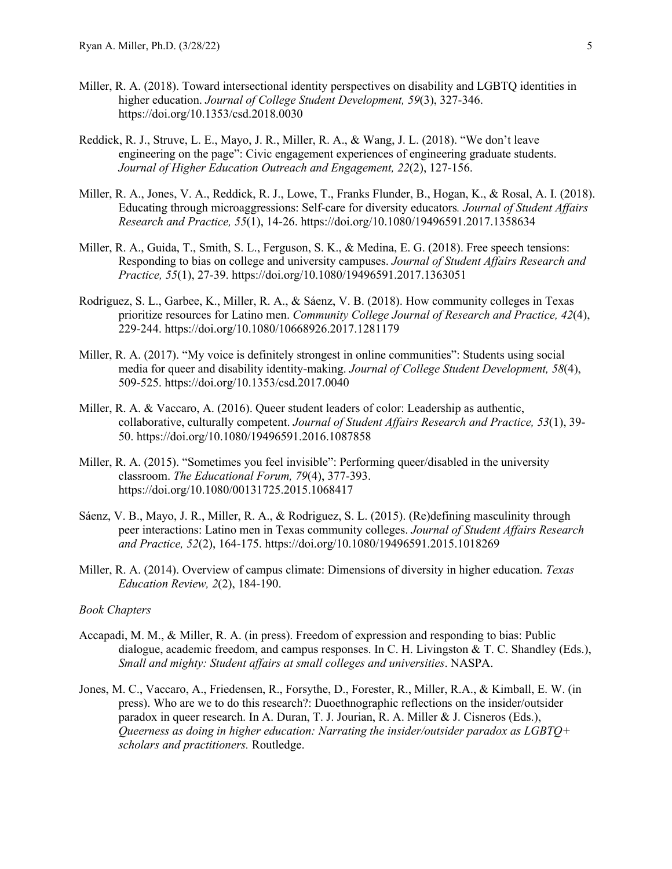- Miller, R. A. (2018). Toward intersectional identity perspectives on disability and LGBTQ identities in higher education. *Journal of College Student Development, 59*(3), 327-346. https://doi.org/10.1353/csd.2018.0030
- Reddick, R. J., Struve, L. E., Mayo, J. R., Miller, R. A., & Wang, J. L. (2018). "We don't leave engineering on the page": Civic engagement experiences of engineering graduate students. *Journal of Higher Education Outreach and Engagement, 22*(2), 127-156.
- Miller, R. A., Jones, V. A., Reddick, R. J., Lowe, T., Franks Flunder, B., Hogan, K., & Rosal, A. I. (2018). Educating through microaggressions: Self-care for diversity educators*. Journal of Student Affairs Research and Practice, 55*(1), 14-26. https://doi.org/10.1080/19496591.2017.1358634
- Miller, R. A., Guida, T., Smith, S. L., Ferguson, S. K., & Medina, E. G. (2018). Free speech tensions: Responding to bias on college and university campuses. *Journal of Student Affairs Research and Practice, 55*(1), 27-39. https://doi.org/10.1080/19496591.2017.1363051
- Rodriguez, S. L., Garbee, K., Miller, R. A., & Sáenz, V. B. (2018). How community colleges in Texas prioritize resources for Latino men. *Community College Journal of Research and Practice, 42*(4), 229-244. https://doi.org/10.1080/10668926.2017.1281179
- Miller, R. A. (2017). "My voice is definitely strongest in online communities": Students using social media for queer and disability identity-making. *Journal of College Student Development, 58*(4), 509-525. https://doi.org/10.1353/csd.2017.0040
- Miller, R. A. & Vaccaro, A. (2016). Queer student leaders of color: Leadership as authentic, collaborative, culturally competent. *Journal of Student Affairs Research and Practice, 53*(1), 39- 50. https://doi.org/10.1080/19496591.2016.1087858
- Miller, R. A. (2015). "Sometimes you feel invisible": Performing queer/disabled in the university classroom. *The Educational Forum, 79*(4), 377-393. https://doi.org/10.1080/00131725.2015.1068417
- Sáenz, V. B., Mayo, J. R., Miller, R. A., & Rodriguez, S. L. (2015). (Re)defining masculinity through peer interactions: Latino men in Texas community colleges. *Journal of Student Affairs Research and Practice, 52*(2), 164-175. https://doi.org/10.1080/19496591.2015.1018269
- Miller, R. A. (2014). Overview of campus climate: Dimensions of diversity in higher education. *Texas Education Review, 2*(2), 184-190.

## *Book Chapters*

- Accapadi, M. M., & Miller, R. A. (in press). Freedom of expression and responding to bias: Public dialogue, academic freedom, and campus responses. In C. H. Livingston & T. C. Shandley (Eds.), *Small and mighty: Student affairs at small colleges and universities*. NASPA.
- Jones, M. C., Vaccaro, A., Friedensen, R., Forsythe, D., Forester, R., Miller, R.A., & Kimball, E. W. (in press). Who are we to do this research?: Duoethnographic reflections on the insider/outsider paradox in queer research. In A. Duran, T. J. Jourian, R. A. Miller & J. Cisneros (Eds.), *Queerness as doing in higher education: Narrating the insider/outsider paradox as LGBTQ+ scholars and practitioners.* Routledge.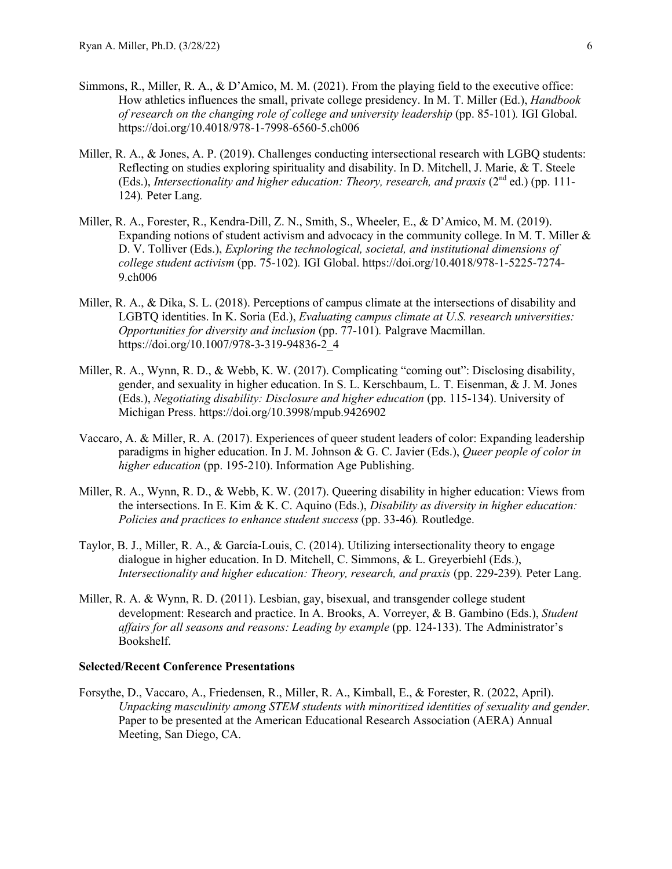- Simmons, R., Miller, R. A., & D'Amico, M. M. (2021). From the playing field to the executive office: How athletics influences the small, private college presidency. In M. T. Miller (Ed.), *Handbook of research on the changing role of college and university leadership* (pp. 85-101)*.* IGI Global. https://doi.org/10.4018/978-1-7998-6560-5.ch006
- Miller, R. A., & Jones, A. P. (2019). Challenges conducting intersectional research with LGBQ students: Reflecting on studies exploring spirituality and disability. In D. Mitchell, J. Marie, & T. Steele (Eds.), *Intersectionality and higher education: Theory, research, and praxis* (2<sup>nd</sup> ed.) (pp. 111-124)*.* Peter Lang.
- Miller, R. A., Forester, R., Kendra-Dill, Z. N., Smith, S., Wheeler, E., & D'Amico, M. M. (2019). Expanding notions of student activism and advocacy in the community college. In M. T. Miller & D. V. Tolliver (Eds.), *Exploring the technological, societal, and institutional dimensions of college student activism* (pp. 75-102)*.* IGI Global. https://doi.org/10.4018/978-1-5225-7274- 9.ch006
- Miller, R. A., & Dika, S. L. (2018). Perceptions of campus climate at the intersections of disability and LGBTQ identities. In K. Soria (Ed.), *Evaluating campus climate at U.S. research universities: Opportunities for diversity and inclusion* (pp. 77-101). Palgrave Macmillan. https://doi.org/10.1007/978-3-319-94836-2\_4
- Miller, R. A., Wynn, R. D., & Webb, K. W. (2017). Complicating "coming out": Disclosing disability, gender, and sexuality in higher education. In S. L. Kerschbaum, L. T. Eisenman, & J. M. Jones (Eds.), *Negotiating disability: Disclosure and higher education* (pp. 115-134). University of Michigan Press. https://doi.org/10.3998/mpub.9426902
- Vaccaro, A. & Miller, R. A. (2017). Experiences of queer student leaders of color: Expanding leadership paradigms in higher education. In J. M. Johnson & G. C. Javier (Eds.), *Queer people of color in higher education* (pp. 195-210). Information Age Publishing.
- Miller, R. A., Wynn, R. D., & Webb, K. W. (2017). Queering disability in higher education: Views from the intersections. In E. Kim & K. C. Aquino (Eds.), *Disability as diversity in higher education: Policies and practices to enhance student success* (pp. 33-46)*.* Routledge.
- Taylor, B. J., Miller, R. A., & García-Louis, C. (2014). Utilizing intersectionality theory to engage dialogue in higher education. In D. Mitchell, C. Simmons, & L. Greyerbiehl (Eds.), *Intersectionality and higher education: Theory, research, and praxis (pp. 229-239). Peter Lang.*
- Miller, R. A. & Wynn, R. D. (2011). Lesbian, gay, bisexual, and transgender college student development: Research and practice. In A. Brooks, A. Vorreyer, & B. Gambino (Eds.), *Student affairs for all seasons and reasons: Leading by example* (pp. 124-133). The Administrator's Bookshelf.

### **Selected/Recent Conference Presentations**

Forsythe, D., Vaccaro, A., Friedensen, R., Miller, R. A., Kimball, E., & Forester, R. (2022, April). *Unpacking masculinity among STEM students with minoritized identities of sexuality and gender*. Paper to be presented at the American Educational Research Association (AERA) Annual Meeting, San Diego, CA.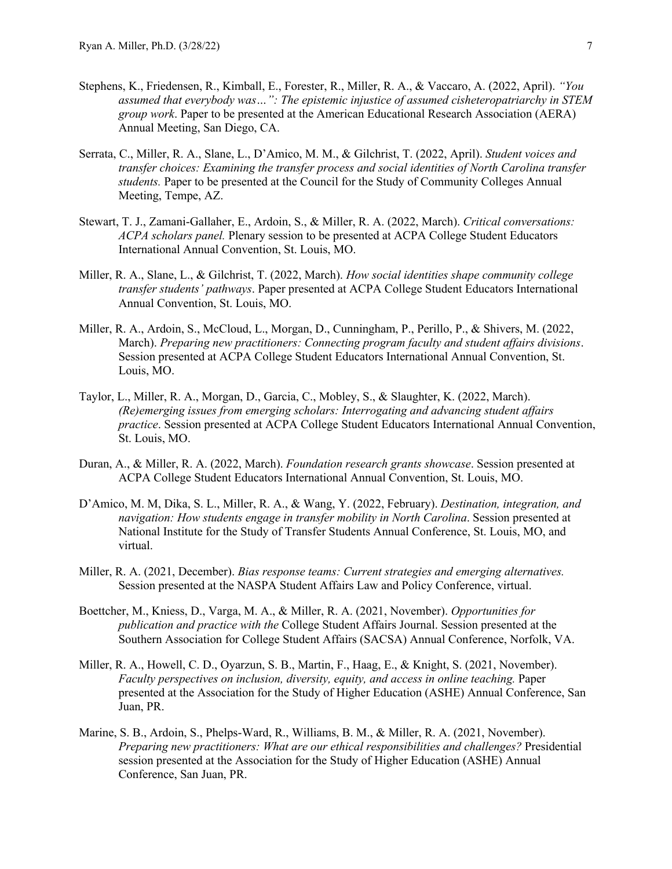- Stephens, K., Friedensen, R., Kimball, E., Forester, R., Miller, R. A., & Vaccaro, A. (2022, April). *"You assumed that everybody was…": The epistemic injustice of assumed cisheteropatriarchy in STEM group work*. Paper to be presented at the American Educational Research Association (AERA) Annual Meeting, San Diego, CA.
- Serrata, C., Miller, R. A., Slane, L., D'Amico, M. M., & Gilchrist, T. (2022, April). *Student voices and transfer choices: Examining the transfer process and social identities of North Carolina transfer students.* Paper to be presented at the Council for the Study of Community Colleges Annual Meeting, Tempe, AZ.
- Stewart, T. J., Zamani-Gallaher, E., Ardoin, S., & Miller, R. A. (2022, March). *Critical conversations: ACPA scholars panel.* Plenary session to be presented at ACPA College Student Educators International Annual Convention, St. Louis, MO.
- Miller, R. A., Slane, L., & Gilchrist, T. (2022, March). *How social identities shape community college transfer students' pathways*. Paper presented at ACPA College Student Educators International Annual Convention, St. Louis, MO.
- Miller, R. A., Ardoin, S., McCloud, L., Morgan, D., Cunningham, P., Perillo, P., & Shivers, M. (2022, March). *Preparing new practitioners: Connecting program faculty and student affairs divisions*. Session presented at ACPA College Student Educators International Annual Convention, St. Louis, MO.
- Taylor, L., Miller, R. A., Morgan, D., Garcia, C., Mobley, S., & Slaughter, K. (2022, March). *(Re)emerging issues from emerging scholars: Interrogating and advancing student affairs practice*. Session presented at ACPA College Student Educators International Annual Convention, St. Louis, MO.
- Duran, A., & Miller, R. A. (2022, March). *Foundation research grants showcase*. Session presented at ACPA College Student Educators International Annual Convention, St. Louis, MO.
- D'Amico, M. M, Dika, S. L., Miller, R. A., & Wang, Y. (2022, February). *Destination, integration, and navigation: How students engage in transfer mobility in North Carolina*. Session presented at National Institute for the Study of Transfer Students Annual Conference, St. Louis, MO, and virtual.
- Miller, R. A. (2021, December). *Bias response teams: Current strategies and emerging alternatives.*  Session presented at the NASPA Student Affairs Law and Policy Conference, virtual.
- Boettcher, M., Kniess, D., Varga, M. A., & Miller, R. A. (2021, November). *Opportunities for publication and practice with the* College Student Affairs Journal. Session presented at the Southern Association for College Student Affairs (SACSA) Annual Conference, Norfolk, VA.
- Miller, R. A., Howell, C. D., Oyarzun, S. B., Martin, F., Haag, E., & Knight, S. (2021, November). *Faculty perspectives on inclusion, diversity, equity, and access in online teaching.* Paper presented at the Association for the Study of Higher Education (ASHE) Annual Conference, San Juan, PR.
- Marine, S. B., Ardoin, S., Phelps-Ward, R., Williams, B. M., & Miller, R. A. (2021, November). *Preparing new practitioners: What are our ethical responsibilities and challenges?* Presidential session presented at the Association for the Study of Higher Education (ASHE) Annual Conference, San Juan, PR.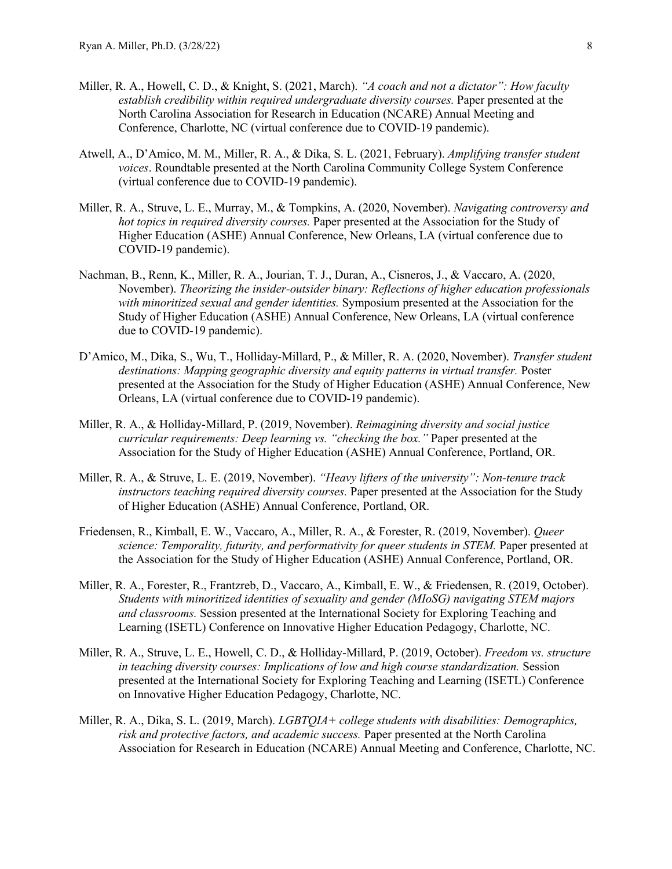- Miller, R. A., Howell, C. D., & Knight, S. (2021, March). *"A coach and not a dictator": How faculty establish credibility within required undergraduate diversity courses.* Paper presented at the North Carolina Association for Research in Education (NCARE) Annual Meeting and Conference, Charlotte, NC (virtual conference due to COVID-19 pandemic).
- Atwell, A., D'Amico, M. M., Miller, R. A., & Dika, S. L. (2021, February). *Amplifying transfer student voices*. Roundtable presented at the North Carolina Community College System Conference (virtual conference due to COVID-19 pandemic).
- Miller, R. A., Struve, L. E., Murray, M., & Tompkins, A. (2020, November). *Navigating controversy and hot topics in required diversity courses.* Paper presented at the Association for the Study of Higher Education (ASHE) Annual Conference, New Orleans, LA (virtual conference due to COVID-19 pandemic).
- Nachman, B., Renn, K., Miller, R. A., Jourian, T. J., Duran, A., Cisneros, J., & Vaccaro, A. (2020, November). *Theorizing the insider-outsider binary: Reflections of higher education professionals with minoritized sexual and gender identities.* Symposium presented at the Association for the Study of Higher Education (ASHE) Annual Conference, New Orleans, LA (virtual conference due to COVID-19 pandemic).
- D'Amico, M., Dika, S., Wu, T., Holliday-Millard, P., & Miller, R. A. (2020, November). *Transfer student*  destinations: Mapping geographic diversity and equity patterns in virtual transfer. Poster presented at the Association for the Study of Higher Education (ASHE) Annual Conference, New Orleans, LA (virtual conference due to COVID-19 pandemic).
- Miller, R. A., & Holliday-Millard, P. (2019, November). *Reimagining diversity and social justice curricular requirements: Deep learning vs. "checking the box."* Paper presented at the Association for the Study of Higher Education (ASHE) Annual Conference, Portland, OR.
- Miller, R. A., & Struve, L. E. (2019, November). *"Heavy lifters of the university": Non-tenure track instructors teaching required diversity courses.* Paper presented at the Association for the Study of Higher Education (ASHE) Annual Conference, Portland, OR.
- Friedensen, R., Kimball, E. W., Vaccaro, A., Miller, R. A., & Forester, R. (2019, November). *Queer science: Temporality, futurity, and performativity for queer students in STEM.* Paper presented at the Association for the Study of Higher Education (ASHE) Annual Conference, Portland, OR.
- Miller, R. A., Forester, R., Frantzreb, D., Vaccaro, A., Kimball, E. W., & Friedensen, R. (2019, October). *Students with minoritized identities of sexuality and gender (MIoSG) navigating STEM majors and classrooms.* Session presented at the International Society for Exploring Teaching and Learning (ISETL) Conference on Innovative Higher Education Pedagogy, Charlotte, NC.
- Miller, R. A., Struve, L. E., Howell, C. D., & Holliday-Millard, P. (2019, October). *Freedom vs. structure in teaching diversity courses: Implications of low and high course standardization.* Session presented at the International Society for Exploring Teaching and Learning (ISETL) Conference on Innovative Higher Education Pedagogy, Charlotte, NC.
- Miller, R. A., Dika, S. L. (2019, March). *LGBTQIA+ college students with disabilities: Demographics, risk and protective factors, and academic success.* Paper presented at the North Carolina Association for Research in Education (NCARE) Annual Meeting and Conference, Charlotte, NC.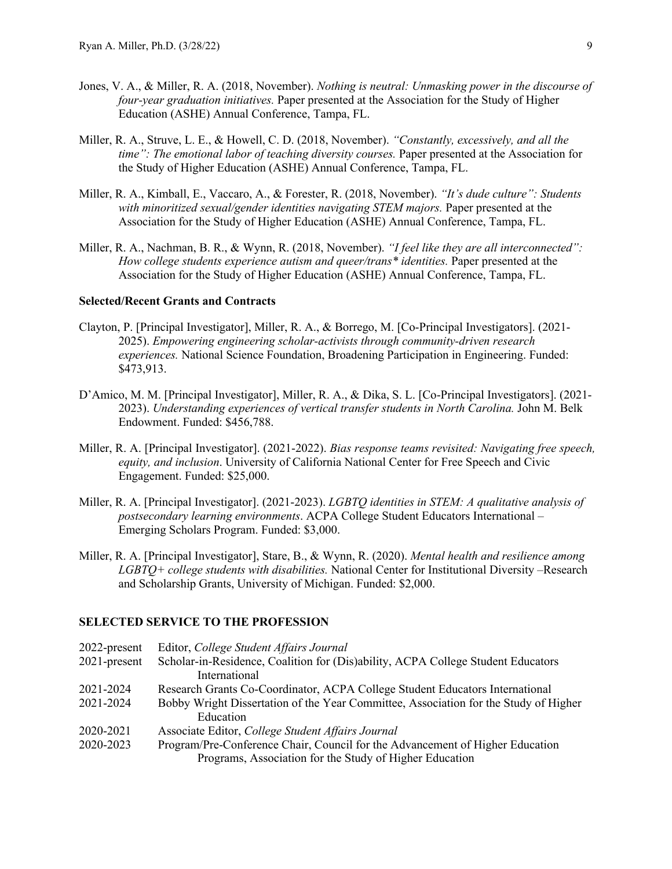- Jones, V. A., & Miller, R. A. (2018, November). *Nothing is neutral: Unmasking power in the discourse of four-year graduation initiatives.* Paper presented at the Association for the Study of Higher Education (ASHE) Annual Conference, Tampa, FL.
- Miller, R. A., Struve, L. E., & Howell, C. D. (2018, November). *"Constantly, excessively, and all the time": The emotional labor of teaching diversity courses.* Paper presented at the Association for the Study of Higher Education (ASHE) Annual Conference, Tampa, FL.
- Miller, R. A., Kimball, E., Vaccaro, A., & Forester, R. (2018, November). *"It's dude culture": Students with minoritized sexual/gender identities navigating STEM majors.* Paper presented at the Association for the Study of Higher Education (ASHE) Annual Conference, Tampa, FL.
- Miller, R. A., Nachman, B. R., & Wynn, R. (2018, November). *"I feel like they are all interconnected": How college students experience autism and queer/trans\* identities.* Paper presented at the Association for the Study of Higher Education (ASHE) Annual Conference, Tampa, FL.

## **Selected/Recent Grants and Contracts**

- Clayton, P. [Principal Investigator], Miller, R. A., & Borrego, M. [Co-Principal Investigators]. (2021- 2025). *Empowering engineering scholar-activists through community-driven research experiences.* National Science Foundation, Broadening Participation in Engineering. Funded: \$473,913.
- D'Amico, M. M. [Principal Investigator], Miller, R. A., & Dika, S. L. [Co-Principal Investigators]. (2021- 2023). *Understanding experiences of vertical transfer students in North Carolina.* John M. Belk Endowment. Funded: \$456,788.
- Miller, R. A. [Principal Investigator]. (2021-2022). *Bias response teams revisited: Navigating free speech, equity, and inclusion*. University of California National Center for Free Speech and Civic Engagement. Funded: \$25,000.
- Miller, R. A. [Principal Investigator]. (2021-2023). *LGBTQ identities in STEM: A qualitative analysis of postsecondary learning environments*. ACPA College Student Educators International – Emerging Scholars Program. Funded: \$3,000.
- Miller, R. A. [Principal Investigator], Stare, B., & Wynn, R. (2020). *Mental health and resilience among LGBTQ+ college students with disabilities.* National Center for Institutional Diversity –Research and Scholarship Grants, University of Michigan. Funded: \$2,000.

## **SELECTED SERVICE TO THE PROFESSION**

| 2022-present    | Editor, College Student Affairs Journal                                              |
|-----------------|--------------------------------------------------------------------------------------|
| $2021$ -present | Scholar-in-Residence, Coalition for (Dis)ability, ACPA College Student Educators     |
|                 | International                                                                        |
| 2021-2024       | Research Grants Co-Coordinator, ACPA College Student Educators International         |
| 2021-2024       | Bobby Wright Dissertation of the Year Committee, Association for the Study of Higher |
|                 | Education                                                                            |
| 2020-2021       | Associate Editor, College Student Affairs Journal                                    |
| 2020-2023       | Program/Pre-Conference Chair, Council for the Advancement of Higher Education        |
|                 | Programs, Association for the Study of Higher Education                              |